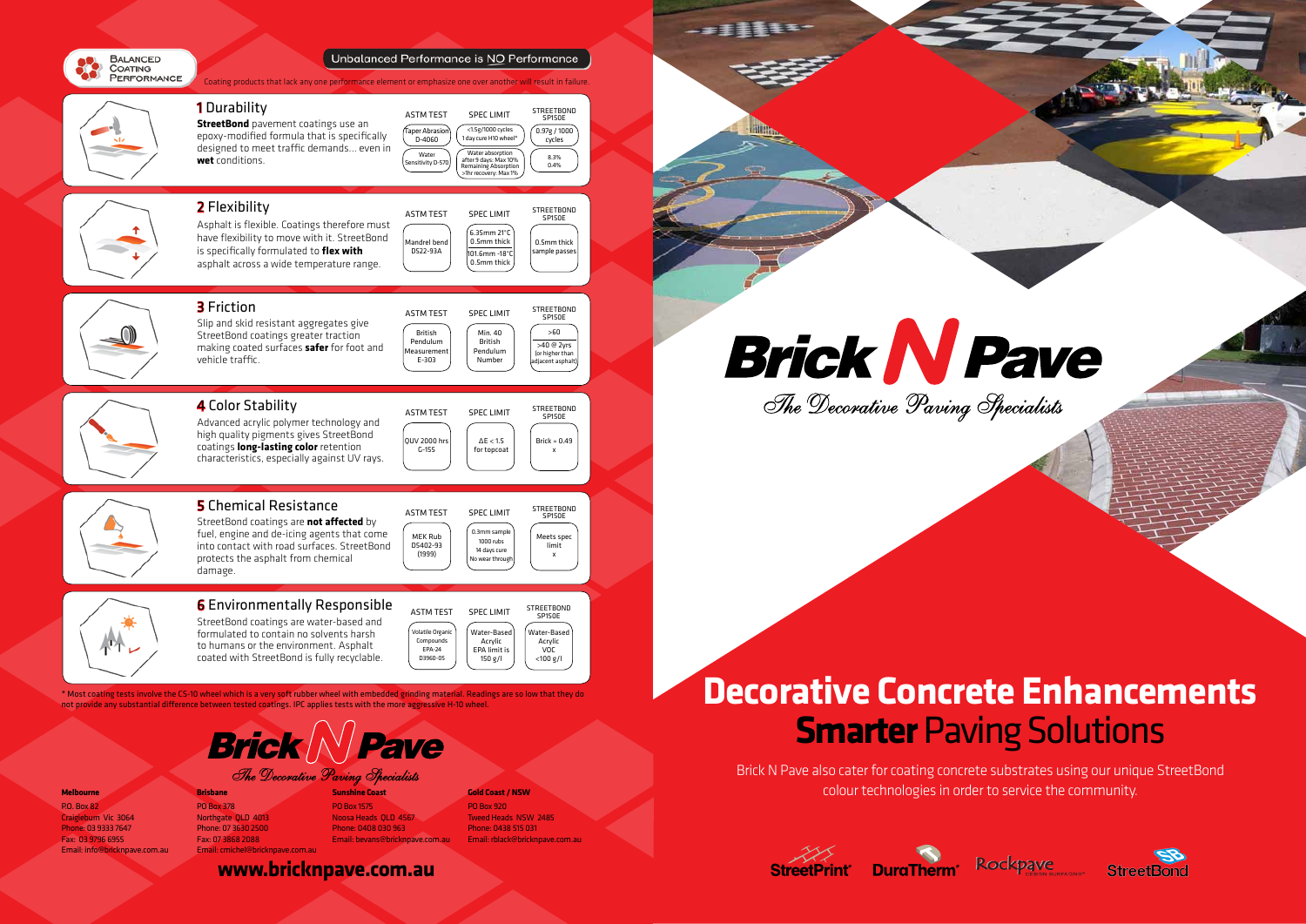

Unbalanced Performance is NO Performance

Brick N Pave also cater for coating concrete substrates using our unique StreetBond colour technologies in order to service the community.





**Brick N Pave** The Decorative Paving Specialists

------









\* Most coating tests involve the CS-10 wheel which is a very soft rubber wheel with embedded grinding material. Readings are so low that they do not provide any substantial difference between tested coatings. IPC applies tests with the more aggressive H-10 wheel.



#### **Melbourne**

P.O. Box 82 Craigieburn Vic 3064 Phone: 03 9333 7647 Fax: 03 9796 6955 Email: info@bricknpave.com.au **Brisbane** PO Box 378 Northgate QLD 4013 Phone: 07 3630 2500 Fax: 07 3868 2088

Email: cmichel@bricknpave.com.au

#### **Sunshine Coast**

PO Box 1575 Noosa Heads QLD 4567 Phone: 0408 030 963 Email: bevans@bricknpave.com.au

#### **Gold Coast / NSW** PO Box 920 Tweed Heads NSW 2485 Phone: 0438 515 031

Email: rblack@bricknpave.com.au

# **Decorative Concrete Enhancements Smarter** Paving Solutions

**www.bricknpave.com.au**